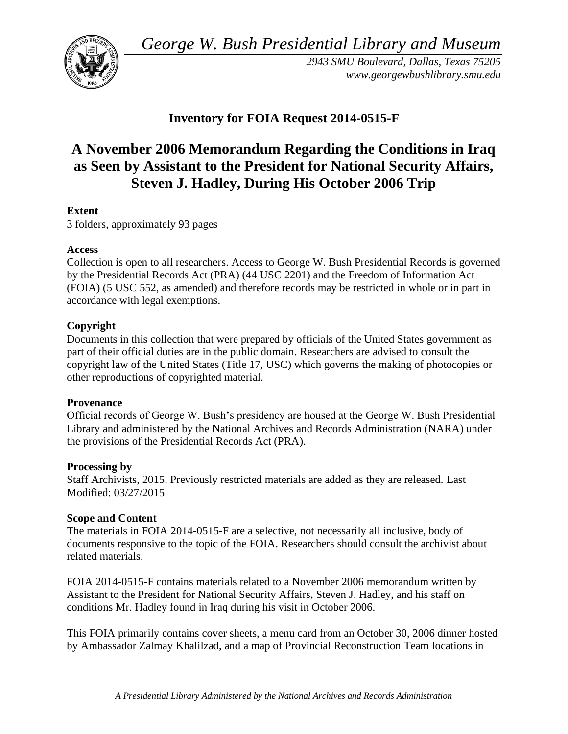*George W. Bush Presidential Library and Museum* 



*2943 SMU Boulevard, Dallas, Texas 75205 <www.georgewbushlibrary.smu.edu>* 

# **Inventory for FOIA Request 2014-0515-F**

# **A November 2006 Memorandum Regarding the Conditions in Iraq as Seen by Assistant to the President for National Security Affairs, Steven J. Hadley, During His October 2006 Trip**

## **Extent**

3 folders, approximately 93 pages

#### **Access**

Collection is open to all researchers. Access to George W. Bush Presidential Records is governed by the Presidential Records Act (PRA) (44 USC 2201) and the Freedom of Information Act (FOIA) (5 USC 552, as amended) and therefore records may be restricted in whole or in part in accordance with legal exemptions.

### **Copyright**

 Documents in this collection that were prepared by officials of the United States government as part of their official duties are in the public domain. Researchers are advised to consult the copyright law of the United States (Title 17, USC) which governs the making of photocopies or other reproductions of copyrighted material.

#### **Provenance**

Official records of George W. Bush's presidency are housed at the George W. Bush Presidential Library and administered by the National Archives and Records Administration (NARA) under the provisions of the Presidential Records Act (PRA).

#### **Processing by**

Staff Archivists, 2015. Previously restricted materials are added as they are released. Last Modified: 03/27/2015

#### **Scope and Content**

 documents responsive to the topic of the FOIA. Researchers should consult the archivist about The materials in FOIA 2014-0515-F are a selective, not necessarily all inclusive, body of related materials.

FOIA 2014-0515-F contains materials related to a November 2006 memorandum written by Assistant to the President for National Security Affairs, Steven J. Hadley, and his staff on conditions Mr. Hadley found in Iraq during his visit in October 2006.

This FOIA primarily contains cover sheets, a menu card from an October 30, 2006 dinner hosted by Ambassador Zalmay Khalilzad, and a map of Provincial Reconstruction Team locations in